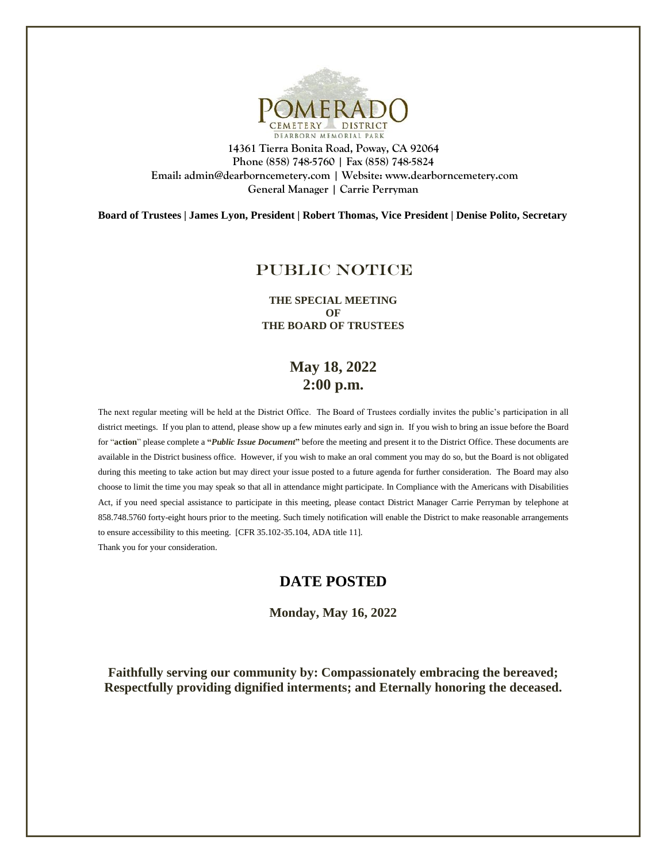

**14361 Tierra Bonita Road, Poway, CA 92064 Phone (858) 748-5760 | Fax (858) 748-5824 Email: admin@dearborncemetery.com | Website[: www.dearborncemetery.com](http://www.dearborncemetery.com/) General Manager | Carrie Perryman**

**Board of Trustees | James Lyon, President | Robert Thomas, Vice President | Denise Polito, Secretary**

### PUBLIC NOTICE

**THE SPECIAL MEETING OF THE BOARD OF TRUSTEES**

# **May 18, 2022 2:00 p.m.**

The next regular meeting will be held at the District Office. The Board of Trustees cordially invites the public's participation in all district meetings. If you plan to attend, please show up a few minutes early and sign in. If you wish to bring an issue before the Board for "**action**" please complete a **"***Public Issue Document***"** before the meeting and present it to the District Office. These documents are available in the District business office. However, if you wish to make an oral comment you may do so, but the Board is not obligated during this meeting to take action but may direct your issue posted to a future agenda for further consideration. The Board may also choose to limit the time you may speak so that all in attendance might participate. In Compliance with the Americans with Disabilities Act, if you need special assistance to participate in this meeting, please contact District Manager Carrie Perryman by telephone at 858.748.5760 forty-eight hours prior to the meeting. Such timely notification will enable the District to make reasonable arrangements to ensure accessibility to this meeting. [CFR 35.102-35.104, ADA title 11]. Thank you for your consideration.

#### **DATE POSTED**

**Monday, May 16, 2022**

**Faithfully serving our community by: Compassionately embracing the bereaved; Respectfully providing dignified interments; and Eternally honoring the deceased.**